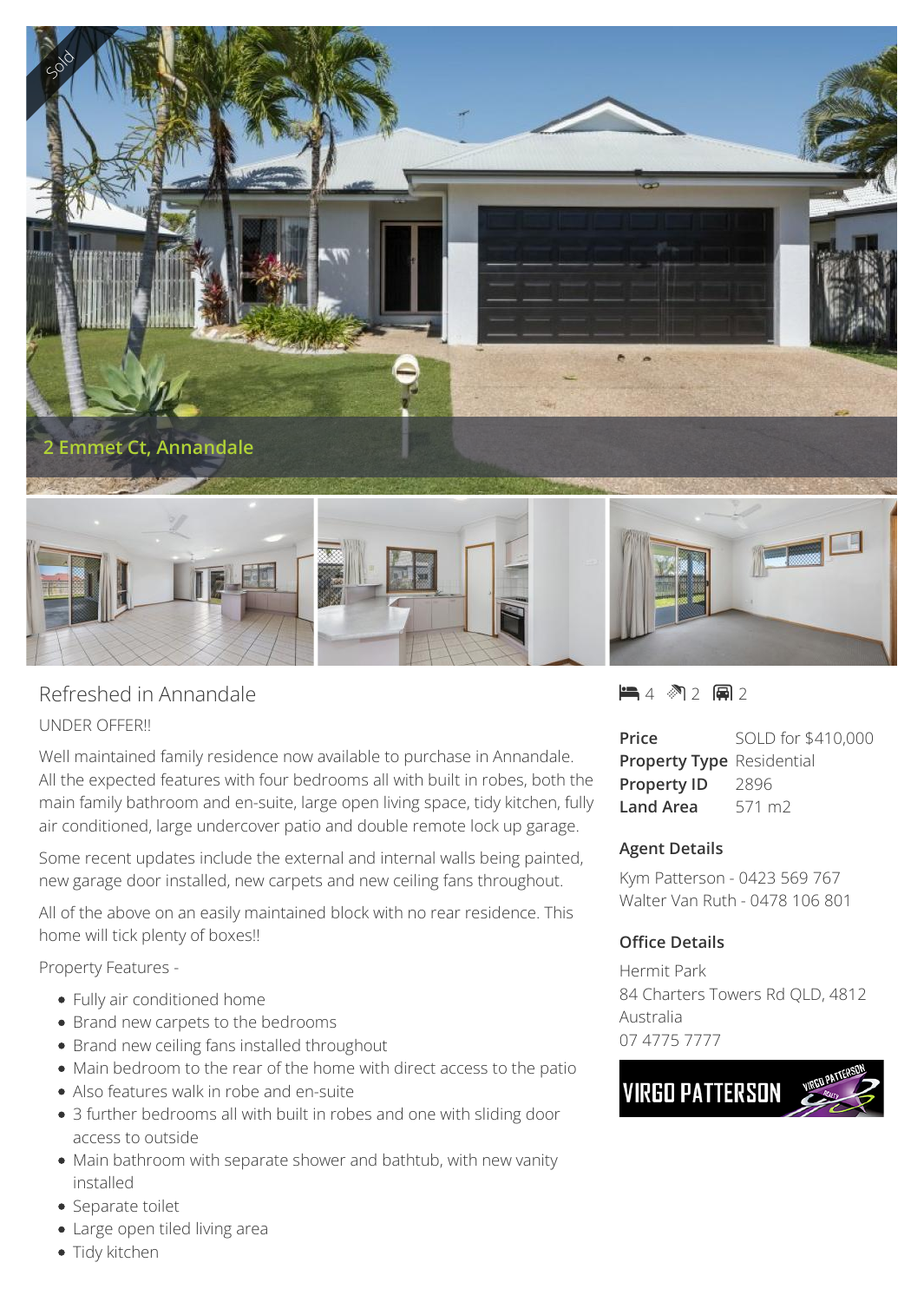

## Refreshed in Annandale UNDER OFFER!!

Well maintained family residence now available to purchase in Annandale. All the expected features with four bedrooms all with built in robes, both the main family bathroom and en-suite, large open living space, tidy kitchen, fully air conditioned, large undercover patio and double remote lock up garage.

Some recent updates include the external and internal walls being painted, new garage door installed, new carpets and new ceiling fans throughout.

All of the above on an easily maintained block with no rear residence. This home will tick plenty of boxes!!

Property Features -

- Fully air conditioned home
- Brand new carpets to the bedrooms
- Brand new ceiling fans installed throughout
- Main bedroom to the rear of the home with direct access to the patio
- Also features walk in robe and en-suite
- 3 further bedrooms all with built in robes and one with sliding door access to outside
- Main bathroom with separate shower and bathtub, with new vanity installed
- Separate toilet
- Large open tiled living area
- Tidy kitchen

 $-4$   $2$   $-2$   $-2$ 

| Price                            | SOLD for \$410,000 |
|----------------------------------|--------------------|
| <b>Property Type Residential</b> |                    |
| <b>Property ID</b>               | 2896               |
| Land Area                        | 571 m <sub>2</sub> |

## **Agent Details**

Kym Patterson - 0423 569 767 Walter Van Ruth - 0478 106 801

## **Office Details**

Hermit Park 84 Charters Towers Rd QLD, 4812 Australia 07 4775 7777